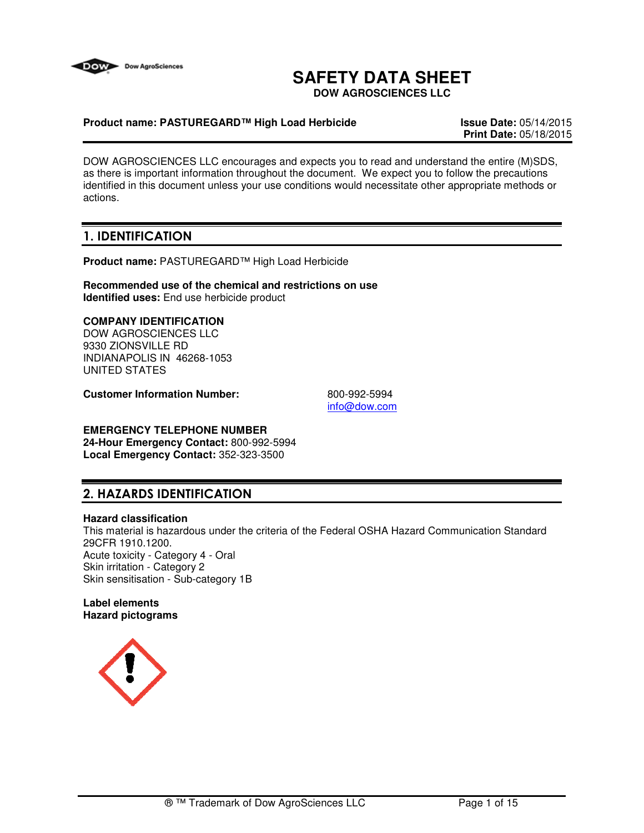

# **SAFETY DATA SHEET**

**DOW AGROSCIENCES LLC**

#### **Product name: PASTUREGARD™ High Load Herbicide Issue Date:** 05/14/2015

**Print Date:** 05/18/2015

DOW AGROSCIENCES LLC encourages and expects you to read and understand the entire (M)SDS, as there is important information throughout the document. We expect you to follow the precautions identified in this document unless your use conditions would necessitate other appropriate methods or actions.

# 1. IDENTIFICATION

**Product name:** PASTUREGARD™ High Load Herbicide

**Recommended use of the chemical and restrictions on use Identified uses:** End use herbicide product

### **COMPANY IDENTIFICATION**

DOW AGROSCIENCES LLC 9330 ZIONSVILLE RD INDIANAPOLIS IN 46268-1053 UNITED STATES

**Customer Information Number:** 800-992-5994

info@dow.com

# **EMERGENCY TELEPHONE NUMBER**

**24-Hour Emergency Contact:** 800-992-5994 **Local Emergency Contact:** 352-323-3500

# 2. HAZARDS IDENTIFICATION

#### **Hazard classification**

This material is hazardous under the criteria of the Federal OSHA Hazard Communication Standard 29CFR 1910.1200. Acute toxicity - Category 4 - Oral Skin irritation - Category 2 Skin sensitisation - Sub-category 1B

**Label elements Hazard pictograms**

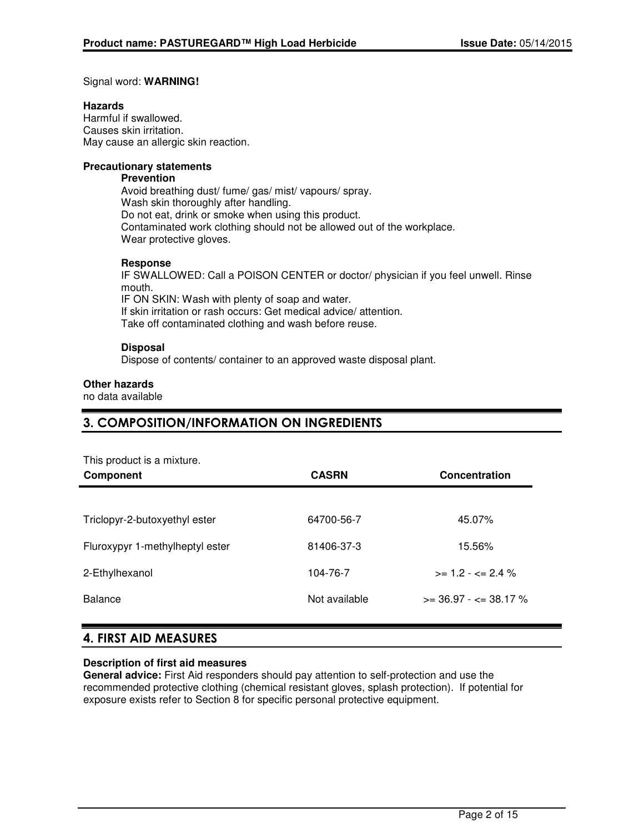#### Signal word: **WARNING!**

#### **Hazards**

Harmful if swallowed. Causes skin irritation. May cause an allergic skin reaction.

#### **Precautionary statements**

# **Prevention**

Avoid breathing dust/ fume/ gas/ mist/ vapours/ spray. Wash skin thoroughly after handling. Do not eat, drink or smoke when using this product. Contaminated work clothing should not be allowed out of the workplace. Wear protective gloves.

#### **Response**

IF SWALLOWED: Call a POISON CENTER or doctor/ physician if you feel unwell. Rinse mouth. IF ON SKIN: Wash with plenty of soap and water. If skin irritation or rash occurs: Get medical advice/ attention. Take off contaminated clothing and wash before reuse.

#### **Disposal**

Dispose of contents/ container to an approved waste disposal plant.

#### **Other hazards**

no data available

### 3. COMPOSITION/INFORMATION ON INGREDIENTS

This product is a mixture.

| <b>Component</b>                | <b>CASRN</b>  | Concentration                |
|---------------------------------|---------------|------------------------------|
|                                 |               |                              |
| Triclopyr-2-butoxyethyl ester   | 64700-56-7    | 45.07%                       |
| Fluroxypyr 1-methylheptyl ester | 81406-37-3    | 15.56%                       |
| 2-Ethylhexanol                  | 104-76-7      | $>= 1.2 - \epsilon = 2.4 \%$ |
| <b>Balance</b>                  | Not available | $>=$ 36.97 - $<=$ 38.17 %    |

### 4. FIRST AID MEASURES

#### **Description of first aid measures**

**General advice:** First Aid responders should pay attention to self-protection and use the recommended protective clothing (chemical resistant gloves, splash protection). If potential for exposure exists refer to Section 8 for specific personal protective equipment.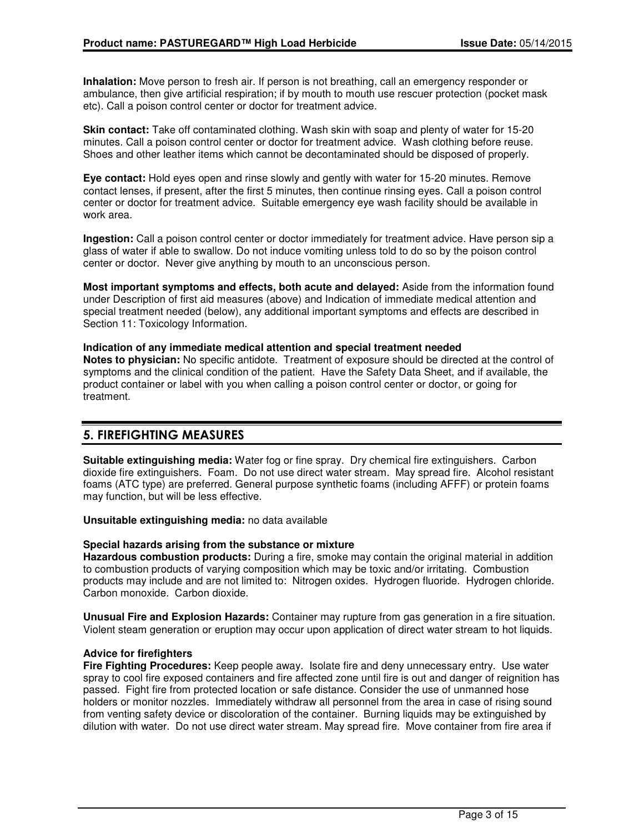**Inhalation:** Move person to fresh air. If person is not breathing, call an emergency responder or ambulance, then give artificial respiration; if by mouth to mouth use rescuer protection (pocket mask etc). Call a poison control center or doctor for treatment advice.

**Skin contact:** Take off contaminated clothing. Wash skin with soap and plenty of water for 15-20 minutes. Call a poison control center or doctor for treatment advice. Wash clothing before reuse. Shoes and other leather items which cannot be decontaminated should be disposed of properly.

**Eye contact:** Hold eyes open and rinse slowly and gently with water for 15-20 minutes. Remove contact lenses, if present, after the first 5 minutes, then continue rinsing eyes. Call a poison control center or doctor for treatment advice. Suitable emergency eye wash facility should be available in work area.

**Ingestion:** Call a poison control center or doctor immediately for treatment advice. Have person sip a glass of water if able to swallow. Do not induce vomiting unless told to do so by the poison control center or doctor. Never give anything by mouth to an unconscious person.

**Most important symptoms and effects, both acute and delayed:** Aside from the information found under Description of first aid measures (above) and Indication of immediate medical attention and special treatment needed (below), any additional important symptoms and effects are described in Section 11: Toxicology Information.

#### **Indication of any immediate medical attention and special treatment needed Notes to physician:** No specific antidote. Treatment of exposure should be directed at the control of symptoms and the clinical condition of the patient. Have the Safety Data Sheet, and if available, the product container or label with you when calling a poison control center or doctor, or going for treatment.

# 5. FIREFIGHTING MEASURES

**Suitable extinguishing media:** Water fog or fine spray. Dry chemical fire extinguishers. Carbon dioxide fire extinguishers. Foam. Do not use direct water stream. May spread fire. Alcohol resistant foams (ATC type) are preferred. General purpose synthetic foams (including AFFF) or protein foams may function, but will be less effective.

**Unsuitable extinguishing media:** no data available

#### **Special hazards arising from the substance or mixture**

**Hazardous combustion products:** During a fire, smoke may contain the original material in addition to combustion products of varying composition which may be toxic and/or irritating. Combustion products may include and are not limited to: Nitrogen oxides. Hydrogen fluoride. Hydrogen chloride. Carbon monoxide. Carbon dioxide.

**Unusual Fire and Explosion Hazards:** Container may rupture from gas generation in a fire situation. Violent steam generation or eruption may occur upon application of direct water stream to hot liquids.

#### **Advice for firefighters**

**Fire Fighting Procedures:** Keep people away. Isolate fire and deny unnecessary entry. Use water spray to cool fire exposed containers and fire affected zone until fire is out and danger of reignition has passed. Fight fire from protected location or safe distance. Consider the use of unmanned hose holders or monitor nozzles. Immediately withdraw all personnel from the area in case of rising sound from venting safety device or discoloration of the container. Burning liquids may be extinguished by dilution with water. Do not use direct water stream. May spread fire. Move container from fire area if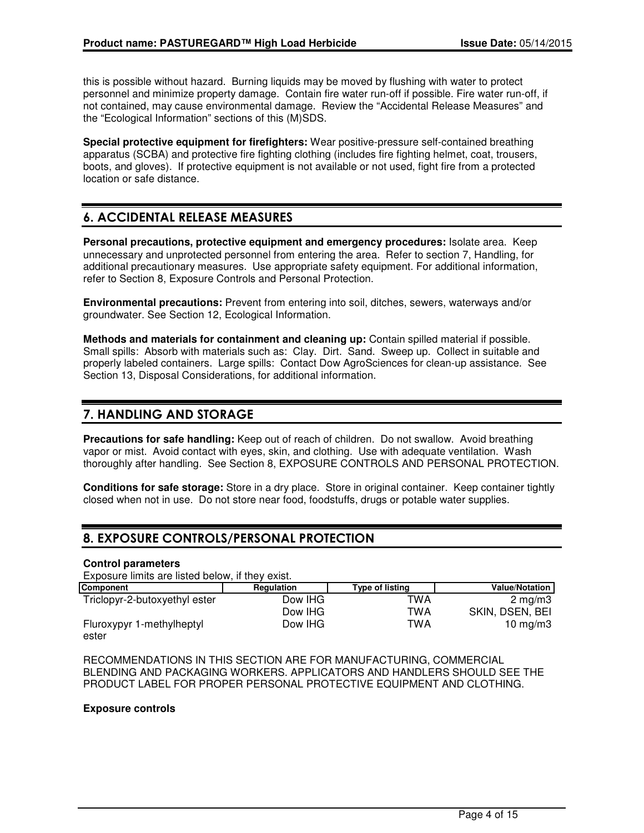this is possible without hazard. Burning liquids may be moved by flushing with water to protect personnel and minimize property damage. Contain fire water run-off if possible. Fire water run-off, if not contained, may cause environmental damage. Review the "Accidental Release Measures" and the "Ecological Information" sections of this (M)SDS.

**Special protective equipment for firefighters:** Wear positive-pressure self-contained breathing apparatus (SCBA) and protective fire fighting clothing (includes fire fighting helmet, coat, trousers, boots, and gloves). If protective equipment is not available or not used, fight fire from a protected location or safe distance.

# 6. ACCIDENTAL RELEASE MEASURES

**Personal precautions, protective equipment and emergency procedures:** Isolate area. Keep unnecessary and unprotected personnel from entering the area. Refer to section 7, Handling, for additional precautionary measures. Use appropriate safety equipment. For additional information, refer to Section 8, Exposure Controls and Personal Protection.

**Environmental precautions:** Prevent from entering into soil, ditches, sewers, waterways and/or groundwater. See Section 12, Ecological Information.

**Methods and materials for containment and cleaning up:** Contain spilled material if possible. Small spills: Absorb with materials such as: Clay. Dirt. Sand. Sweep up. Collect in suitable and properly labeled containers. Large spills: Contact Dow AgroSciences for clean-up assistance. See Section 13, Disposal Considerations, for additional information.

### 7. HANDLING AND STORAGE

**Precautions for safe handling:** Keep out of reach of children. Do not swallow. Avoid breathing vapor or mist. Avoid contact with eyes, skin, and clothing. Use with adequate ventilation. Wash thoroughly after handling. See Section 8, EXPOSURE CONTROLS AND PERSONAL PROTECTION.

**Conditions for safe storage:** Store in a dry place. Store in original container. Keep container tightly closed when not in use. Do not store near food, foodstuffs, drugs or potable water supplies.

# 8. EXPOSURE CONTROLS/PERSONAL PROTECTION

#### **Control parameters**

Exposure limits are listed below, if they exist.

| Component                          | Regulation | <b>Type of listing</b> | Value/Notation   |
|------------------------------------|------------|------------------------|------------------|
| Triclopyr-2-butoxyethyl ester      | Dow IHG    | TWA                    | $2 \text{ ma/m}$ |
|                                    | Dow IHG    | TWA                    | SKIN, DSEN, BEI  |
| Fluroxypyr 1-methylheptyl<br>ester | Dow IHG    | TWA                    | 10 $mq/m3$       |

RECOMMENDATIONS IN THIS SECTION ARE FOR MANUFACTURING, COMMERCIAL BLENDING AND PACKAGING WORKERS. APPLICATORS AND HANDLERS SHOULD SEE THE PRODUCT LABEL FOR PROPER PERSONAL PROTECTIVE EQUIPMENT AND CLOTHING.

#### **Exposure controls**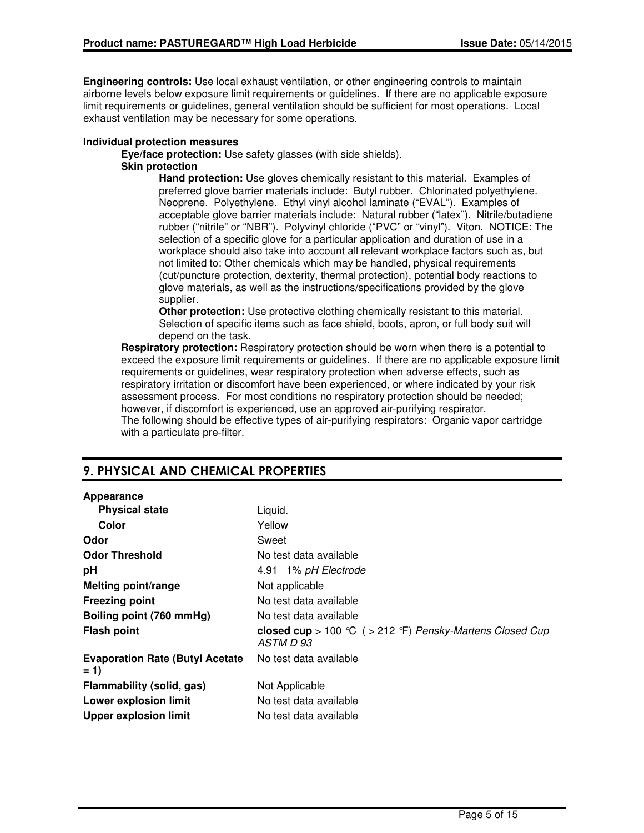**Engineering controls:** Use local exhaust ventilation, or other engineering controls to maintain airborne levels below exposure limit requirements or guidelines. If there are no applicable exposure limit requirements or guidelines, general ventilation should be sufficient for most operations. Local exhaust ventilation may be necessary for some operations.

#### **Individual protection measures**

**Eye/face protection:** Use safety glasses (with side shields).

### **Skin protection**

**Hand protection:** Use gloves chemically resistant to this material. Examples of preferred glove barrier materials include: Butyl rubber. Chlorinated polyethylene. Neoprene. Polyethylene. Ethyl vinyl alcohol laminate ("EVAL"). Examples of acceptable glove barrier materials include: Natural rubber ("latex"). Nitrile/butadiene rubber ("nitrile" or "NBR"). Polyvinyl chloride ("PVC" or "vinyl"). Viton. NOTICE: The selection of a specific glove for a particular application and duration of use in a workplace should also take into account all relevant workplace factors such as, but not limited to: Other chemicals which may be handled, physical requirements (cut/puncture protection, dexterity, thermal protection), potential body reactions to glove materials, as well as the instructions/specifications provided by the glove supplier.

**Other protection:** Use protective clothing chemically resistant to this material. Selection of specific items such as face shield, boots, apron, or full body suit will depend on the task.

**Respiratory protection:** Respiratory protection should be worn when there is a potential to exceed the exposure limit requirements or guidelines. If there are no applicable exposure limit requirements or guidelines, wear respiratory protection when adverse effects, such as respiratory irritation or discomfort have been experienced, or where indicated by your risk assessment process. For most conditions no respiratory protection should be needed; however, if discomfort is experienced, use an approved air-purifying respirator. The following should be effective types of air-purifying respirators: Organic vapor cartridge with a particulate pre-filter.

# 9. PHYSICAL AND CHEMICAL PROPERTIES

#### **Appearance**

| <b>Physical state</b>                            | Liquid.                                                               |
|--------------------------------------------------|-----------------------------------------------------------------------|
| Color                                            | Yellow                                                                |
| Odor                                             | Sweet                                                                 |
| <b>Odor Threshold</b>                            | No test data available                                                |
| pH                                               | 4.91 1% pH Electrode                                                  |
| <b>Melting point/range</b>                       | Not applicable                                                        |
| <b>Freezing point</b>                            | No test data available                                                |
| Boiling point (760 mmHg)                         | No test data available                                                |
| <b>Flash point</b>                               | closed cup > 100 °C ( > 212 °F) Pensky-Martens Closed Cup<br>ASTM D93 |
| <b>Evaporation Rate (Butyl Acetate)</b><br>$= 1$ | No test data available                                                |
| Flammability (solid, gas)                        | Not Applicable                                                        |
| <b>Lower explosion limit</b>                     | No test data available                                                |
| <b>Upper explosion limit</b>                     | No test data available                                                |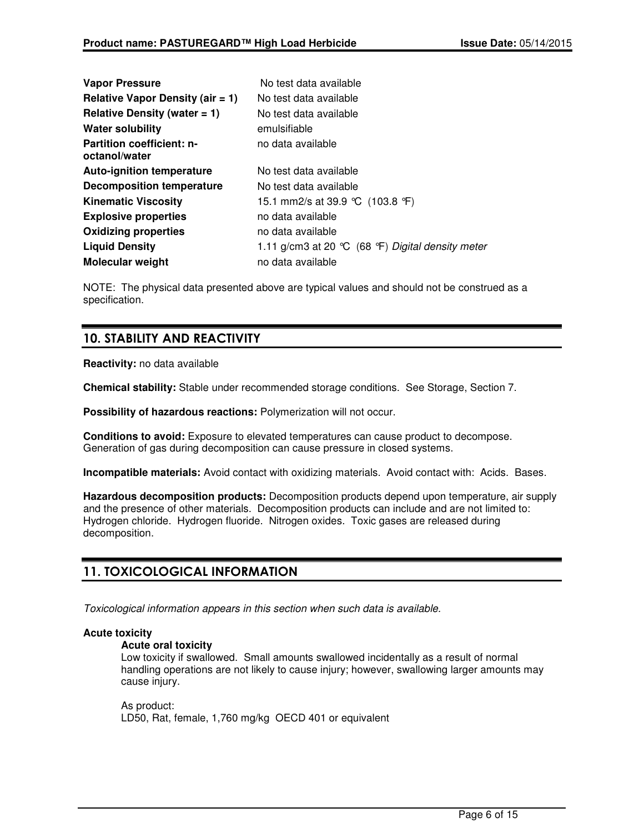| <b>Vapor Pressure</b>                             | No test data available                              |
|---------------------------------------------------|-----------------------------------------------------|
| Relative Vapor Density (air $= 1$ )               | No test data available                              |
| Relative Density (water $= 1$ )                   | No test data available                              |
| <b>Water solubility</b>                           | emulsifiable                                        |
| <b>Partition coefficient: n-</b><br>octanol/water | no data available                                   |
| <b>Auto-ignition temperature</b>                  | No test data available                              |
| <b>Decomposition temperature</b>                  | No test data available                              |
| <b>Kinematic Viscosity</b>                        | 15.1 mm2/s at 39.9 °C (103.8 °F)                    |
| <b>Explosive properties</b>                       | no data available                                   |
| <b>Oxidizing properties</b>                       | no data available                                   |
| <b>Liquid Density</b>                             | 1.11 g/cm3 at 20 $°C$ (68 °F) Digital density meter |
| Molecular weight                                  | no data available                                   |

NOTE: The physical data presented above are typical values and should not be construed as a specification.

# 10. STABILITY AND REACTIVITY

**Reactivity:** no data available

**Chemical stability:** Stable under recommended storage conditions. See Storage, Section 7.

**Possibility of hazardous reactions:** Polymerization will not occur.

**Conditions to avoid:** Exposure to elevated temperatures can cause product to decompose. Generation of gas during decomposition can cause pressure in closed systems.

**Incompatible materials:** Avoid contact with oxidizing materials. Avoid contact with: Acids. Bases.

**Hazardous decomposition products:** Decomposition products depend upon temperature, air supply and the presence of other materials. Decomposition products can include and are not limited to: Hydrogen chloride. Hydrogen fluoride. Nitrogen oxides. Toxic gases are released during decomposition.

# 11. TOXICOLOGICAL INFORMATION

Toxicological information appears in this section when such data is available.

#### **Acute toxicity**

#### **Acute oral toxicity**

Low toxicity if swallowed. Small amounts swallowed incidentally as a result of normal handling operations are not likely to cause injury; however, swallowing larger amounts may cause injury.

As product: LD50, Rat, female, 1,760 mg/kg OECD 401 or equivalent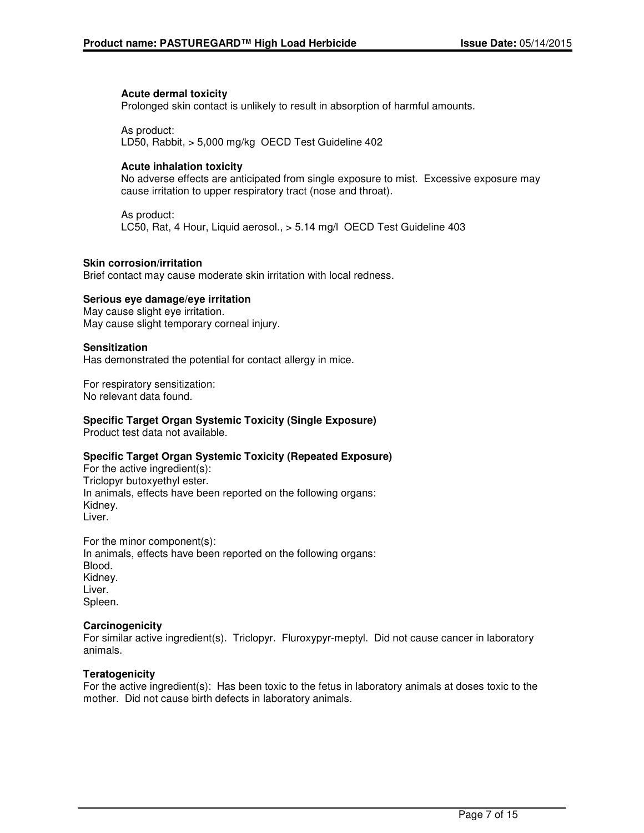#### **Acute dermal toxicity**

Prolonged skin contact is unlikely to result in absorption of harmful amounts.

As product: LD50, Rabbit, > 5,000 mg/kg OECD Test Guideline 402

#### **Acute inhalation toxicity**

No adverse effects are anticipated from single exposure to mist. Excessive exposure may cause irritation to upper respiratory tract (nose and throat).

As product: LC50, Rat, 4 Hour, Liquid aerosol., > 5.14 mg/l OECD Test Guideline 403

#### **Skin corrosion/irritation**

Brief contact may cause moderate skin irritation with local redness.

#### **Serious eye damage/eye irritation**

May cause slight eye irritation. May cause slight temporary corneal injury.

#### **Sensitization**

Has demonstrated the potential for contact allergy in mice.

For respiratory sensitization: No relevant data found.

#### **Specific Target Organ Systemic Toxicity (Single Exposure)**

Product test data not available.

#### **Specific Target Organ Systemic Toxicity (Repeated Exposure)**

For the active ingredient(s): Triclopyr butoxyethyl ester. In animals, effects have been reported on the following organs: Kidney. Liver.

For the minor component(s): In animals, effects have been reported on the following organs: Blood. Kidney. Liver. Spleen.

#### **Carcinogenicity**

For similar active ingredient(s). Triclopyr. Fluroxypyr-meptyl. Did not cause cancer in laboratory animals.

#### **Teratogenicity**

For the active ingredient(s): Has been toxic to the fetus in laboratory animals at doses toxic to the mother. Did not cause birth defects in laboratory animals.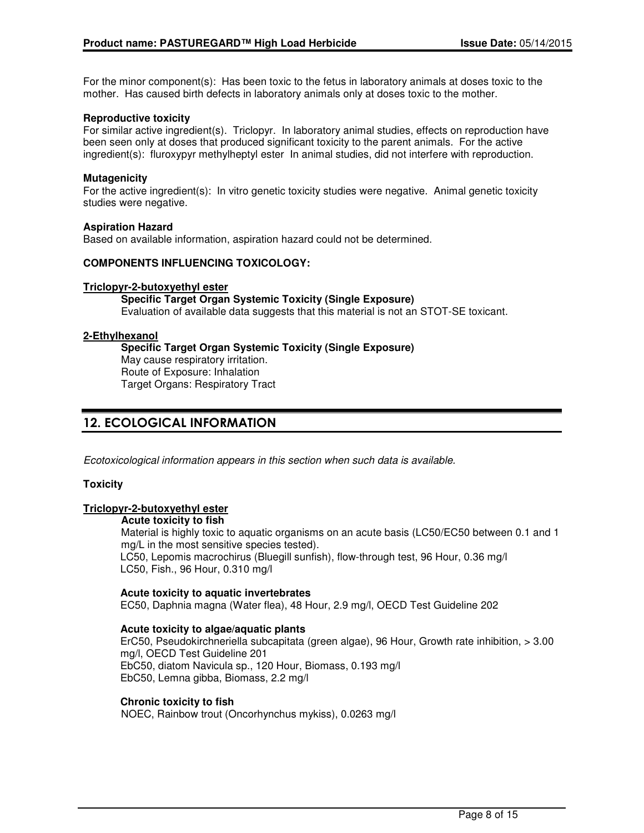For the minor component(s): Has been toxic to the fetus in laboratory animals at doses toxic to the mother. Has caused birth defects in laboratory animals only at doses toxic to the mother.

#### **Reproductive toxicity**

For similar active ingredient(s). Triclopyr. In laboratory animal studies, effects on reproduction have been seen only at doses that produced significant toxicity to the parent animals. For the active ingredient(s): fluroxypyr methylheptyl ester In animal studies, did not interfere with reproduction.

#### **Mutagenicity**

For the active ingredient(s): In vitro genetic toxicity studies were negative. Animal genetic toxicity studies were negative.

#### **Aspiration Hazard**

Based on available information, aspiration hazard could not be determined.

#### **COMPONENTS INFLUENCING TOXICOLOGY:**

#### **Triclopyr-2-butoxyethyl ester**

**Specific Target Organ Systemic Toxicity (Single Exposure)** Evaluation of available data suggests that this material is not an STOT-SE toxicant.

#### **2-Ethylhexanol**

**Specific Target Organ Systemic Toxicity (Single Exposure)** May cause respiratory irritation. Route of Exposure: Inhalation Target Organs: Respiratory Tract

### 12. ECOLOGICAL INFORMATION

Ecotoxicological information appears in this section when such data is available.

#### **Toxicity**

#### **Triclopyr-2-butoxyethyl ester**

#### **Acute toxicity to fish**

Material is highly toxic to aquatic organisms on an acute basis (LC50/EC50 between 0.1 and 1 mg/L in the most sensitive species tested).

LC50, Lepomis macrochirus (Bluegill sunfish), flow-through test, 96 Hour, 0.36 mg/l LC50, Fish., 96 Hour, 0.310 mg/l

#### **Acute toxicity to aquatic invertebrates**

EC50, Daphnia magna (Water flea), 48 Hour, 2.9 mg/l, OECD Test Guideline 202

#### **Acute toxicity to algae/aquatic plants**

ErC50, Pseudokirchneriella subcapitata (green algae), 96 Hour, Growth rate inhibition, > 3.00 mg/l, OECD Test Guideline 201 EbC50, diatom Navicula sp., 120 Hour, Biomass, 0.193 mg/l EbC50, Lemna gibba, Biomass, 2.2 mg/l

#### **Chronic toxicity to fish**

NOEC, Rainbow trout (Oncorhynchus mykiss), 0.0263 mg/l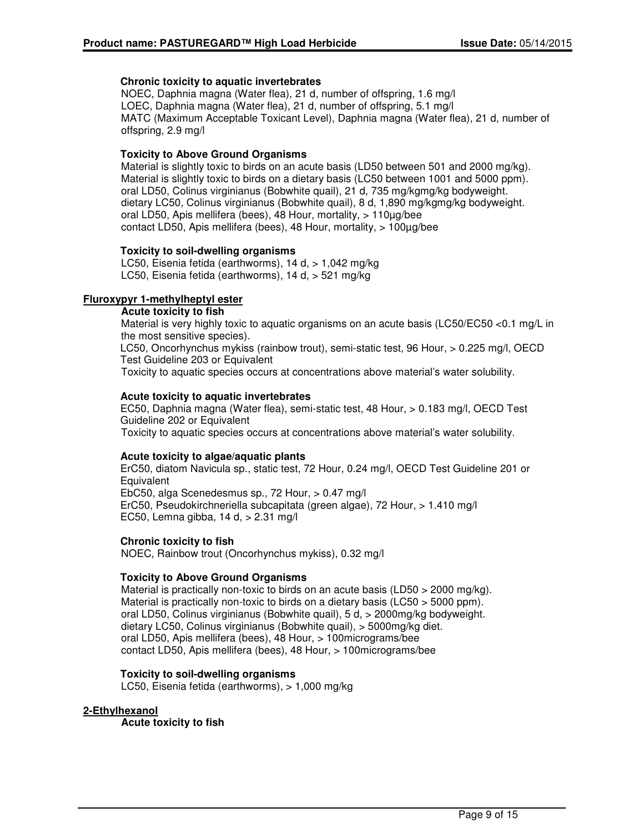#### **Chronic toxicity to aquatic invertebrates**

NOEC, Daphnia magna (Water flea), 21 d, number of offspring, 1.6 mg/l LOEC, Daphnia magna (Water flea), 21 d, number of offspring, 5.1 mg/l MATC (Maximum Acceptable Toxicant Level), Daphnia magna (Water flea), 21 d, number of offspring, 2.9 mg/l

#### **Toxicity to Above Ground Organisms**

Material is slightly toxic to birds on an acute basis (LD50 between 501 and 2000 mg/kg). Material is slightly toxic to birds on a dietary basis (LC50 between 1001 and 5000 ppm). oral LD50, Colinus virginianus (Bobwhite quail), 21 d, 735 mg/kgmg/kg bodyweight. dietary LC50, Colinus virginianus (Bobwhite quail), 8 d, 1,890 mg/kgmg/kg bodyweight. oral LD50, Apis mellifera (bees), 48 Hour, mortality, > 110µg/bee contact LD50, Apis mellifera (bees), 48 Hour, mortality, > 100µg/bee

#### **Toxicity to soil-dwelling organisms**

LC50, Eisenia fetida (earthworms), 14 d, > 1,042 mg/kg LC50, Eisenia fetida (earthworms), 14 d, > 521 mg/kg

#### **Fluroxypyr 1-methylheptyl ester**

#### **Acute toxicity to fish**

Material is very highly toxic to aquatic organisms on an acute basis (LC50/EC50 <0.1 mg/L in the most sensitive species).

LC50, Oncorhynchus mykiss (rainbow trout), semi-static test, 96 Hour, > 0.225 mg/l, OECD Test Guideline 203 or Equivalent

Toxicity to aquatic species occurs at concentrations above material's water solubility.

#### **Acute toxicity to aquatic invertebrates**

EC50, Daphnia magna (Water flea), semi-static test, 48 Hour, > 0.183 mg/l, OECD Test Guideline 202 or Equivalent Toxicity to aquatic species occurs at concentrations above material's water solubility.

#### **Acute toxicity to algae/aquatic plants**

ErC50, diatom Navicula sp., static test, 72 Hour, 0.24 mg/l, OECD Test Guideline 201 or **Equivalent** EbC50, alga Scenedesmus sp., 72 Hour, > 0.47 mg/l

ErC50, Pseudokirchneriella subcapitata (green algae), 72 Hour, > 1.410 mg/l EC50, Lemna gibba, 14 d, > 2.31 mg/l

#### **Chronic toxicity to fish**

NOEC, Rainbow trout (Oncorhynchus mykiss), 0.32 mg/l

#### **Toxicity to Above Ground Organisms**

Material is practically non-toxic to birds on an acute basis (LD50 > 2000 mg/kg). Material is practically non-toxic to birds on a dietary basis (LC50 > 5000 ppm). oral LD50, Colinus virginianus (Bobwhite quail), 5 d, > 2000mg/kg bodyweight. dietary LC50, Colinus virginianus (Bobwhite quail), > 5000mg/kg diet. oral LD50, Apis mellifera (bees), 48 Hour, > 100micrograms/bee contact LD50, Apis mellifera (bees), 48 Hour, > 100micrograms/bee

#### **Toxicity to soil-dwelling organisms**

LC50, Eisenia fetida (earthworms), > 1,000 mg/kg

#### **2-Ethylhexanol**

**Acute toxicity to fish**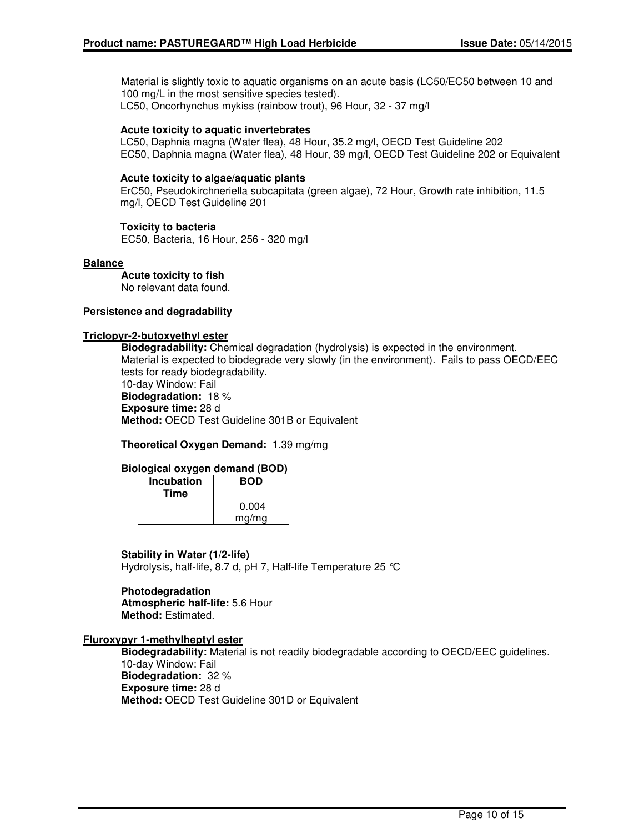Material is slightly toxic to aquatic organisms on an acute basis (LC50/EC50 between 10 and 100 mg/L in the most sensitive species tested). LC50, Oncorhynchus mykiss (rainbow trout), 96 Hour, 32 - 37 mg/l

#### **Acute toxicity to aquatic invertebrates**

LC50, Daphnia magna (Water flea), 48 Hour, 35.2 mg/l, OECD Test Guideline 202 EC50, Daphnia magna (Water flea), 48 Hour, 39 mg/l, OECD Test Guideline 202 or Equivalent

#### **Acute toxicity to algae/aquatic plants**

ErC50, Pseudokirchneriella subcapitata (green algae), 72 Hour, Growth rate inhibition, 11.5 mg/l, OECD Test Guideline 201

#### **Toxicity to bacteria**

EC50, Bacteria, 16 Hour, 256 - 320 mg/l

#### **Balance**

**Acute toxicity to fish** No relevant data found.

#### **Persistence and degradability**

#### **Triclopyr-2-butoxyethyl ester**

**Biodegradability:** Chemical degradation (hydrolysis) is expected in the environment. Material is expected to biodegrade very slowly (in the environment). Fails to pass OECD/EEC tests for ready biodegradability. 10-day Window: Fail **Biodegradation:** 18 %

**Exposure time:** 28 d **Method:** OECD Test Guideline 301B or Equivalent

**Theoretical Oxygen Demand:** 1.39 mg/mg

#### **Biological oxygen demand (BOD)**

| Incubation<br>Time | <b>BOD</b> |
|--------------------|------------|
|                    | 0.004      |
|                    | mg/mg      |

#### **Stability in Water (1/2-life)**

Hydrolysis, half-life, 8.7 d, pH 7, Half-life Temperature 25 °C

#### **Photodegradation Atmospheric half-life:** 5.6 Hour **Method:** Estimated.

#### **Fluroxypyr 1-methylheptyl ester**

**Biodegradability:** Material is not readily biodegradable according to OECD/EEC guidelines. 10-day Window: Fail **Biodegradation:** 32 % **Exposure time:** 28 d **Method:** OECD Test Guideline 301D or Equivalent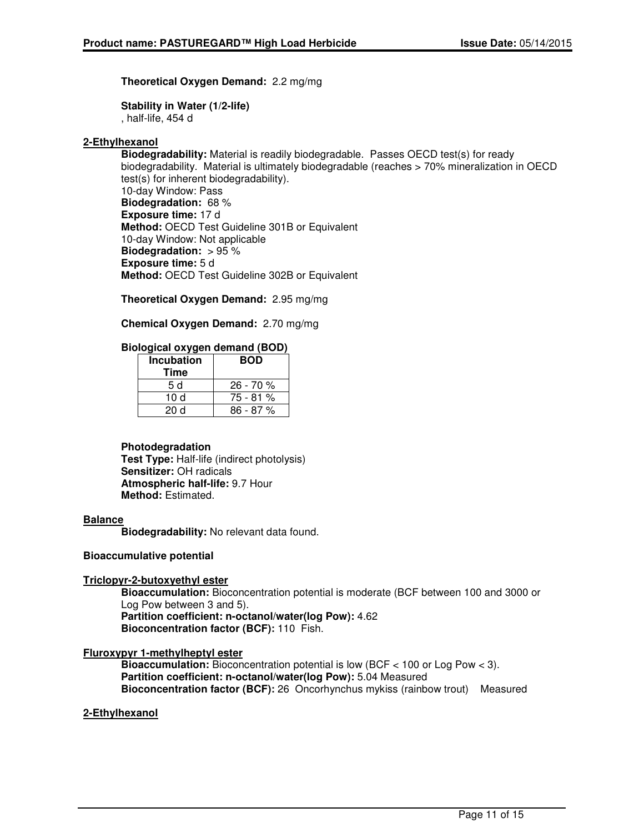**Theoretical Oxygen Demand:** 2.2 mg/mg

**Stability in Water (1/2-life)** , half-life, 454 d

### **2-Ethylhexanol**

**Biodegradability:** Material is readily biodegradable. Passes OECD test(s) for ready biodegradability. Material is ultimately biodegradable (reaches > 70% mineralization in OECD test(s) for inherent biodegradability). 10-day Window: Pass **Biodegradation:** 68 % **Exposure time:** 17 d **Method:** OECD Test Guideline 301B or Equivalent 10-day Window: Not applicable **Biodegradation:** > 95 % **Exposure time:** 5 d **Method:** OECD Test Guideline 302B or Equivalent

**Theoretical Oxygen Demand:** 2.95 mg/mg

**Chemical Oxygen Demand:** 2.70 mg/mg

#### **Biological oxygen demand (BOD)**

| <b>Incubation</b><br><b>Time</b> | <b>BOD</b> |
|----------------------------------|------------|
| 5 d                              | $26 - 70%$ |
| 10 d                             | 75 - 81 %  |
| 20d                              | 86 - 87 %  |

#### **Photodegradation**

**Test Type:** Half-life (indirect photolysis) **Sensitizer:** OH radicals **Atmospheric half-life:** 9.7 Hour **Method:** Estimated.

#### **Balance**

**Biodegradability:** No relevant data found.

#### **Bioaccumulative potential**

#### **Triclopyr-2-butoxyethyl ester**

**Bioaccumulation:** Bioconcentration potential is moderate (BCF between 100 and 3000 or Log Pow between 3 and 5). **Partition coefficient: n-octanol/water(log Pow):** 4.62

**Bioconcentration factor (BCF):** 110 Fish.

#### **Fluroxypyr 1-methylheptyl ester**

**Bioaccumulation:** Bioconcentration potential is low (BCF < 100 or Log Pow < 3). **Partition coefficient: n-octanol/water(log Pow):** 5.04 Measured **Bioconcentration factor (BCF):** 26 Oncorhynchus mykiss (rainbow trout) Measured

#### **2-Ethylhexanol**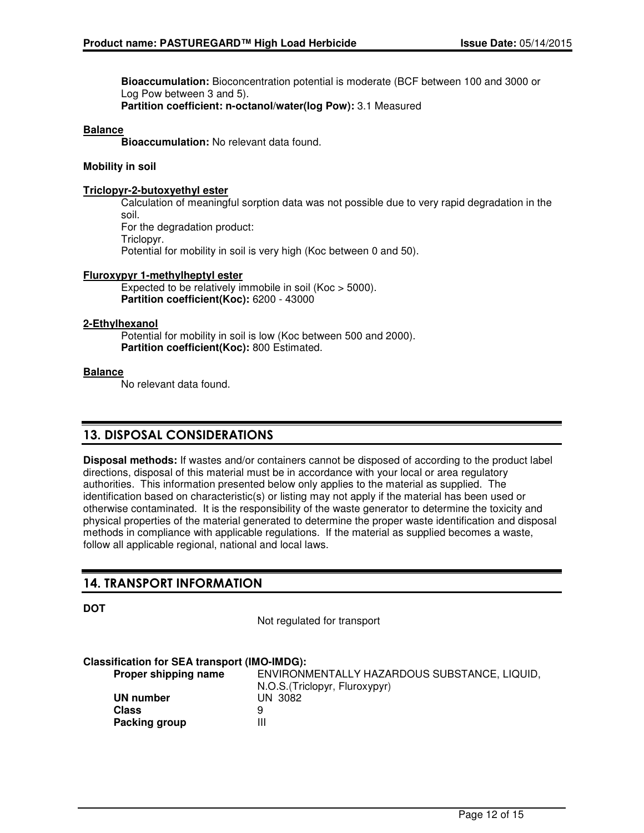**Bioaccumulation:** Bioconcentration potential is moderate (BCF between 100 and 3000 or Log Pow between 3 and 5). **Partition coefficient: n-octanol/water(log Pow):** 3.1 Measured

#### **Balance**

**Bioaccumulation:** No relevant data found.

#### **Mobility in soil**

#### **Triclopyr-2-butoxyethyl ester**

Calculation of meaningful sorption data was not possible due to very rapid degradation in the soil. For the degradation product: Triclopyr. Potential for mobility in soil is very high (Koc between 0 and 50).

#### **Fluroxypyr 1-methylheptyl ester**

Expected to be relatively immobile in soil (Koc > 5000). **Partition coefficient(Koc):** 6200 - 43000

#### **2-Ethylhexanol**

Potential for mobility in soil is low (Koc between 500 and 2000). **Partition coefficient(Koc):** 800 Estimated.

#### **Balance**

No relevant data found.

### 13. DISPOSAL CONSIDERATIONS

**Disposal methods:** If wastes and/or containers cannot be disposed of according to the product label directions, disposal of this material must be in accordance with your local or area regulatory authorities. This information presented below only applies to the material as supplied. The identification based on characteristic(s) or listing may not apply if the material has been used or otherwise contaminated. It is the responsibility of the waste generator to determine the toxicity and physical properties of the material generated to determine the proper waste identification and disposal methods in compliance with applicable regulations. If the material as supplied becomes a waste, follow all applicable regional, national and local laws.

### 14. TRANSPORT INFORMATION

**DOT**

Not regulated for transport

#### **Classification for SEA transport (IMO-IMDG):**

**Proper shipping name** ENVIRONMENTALLY HAZARDOUS SUBSTANCE, LIQUID, N.O.S.(Triclopyr, Fluroxypyr) **UN number** UN 3082 **Class** 9 **Packing group III**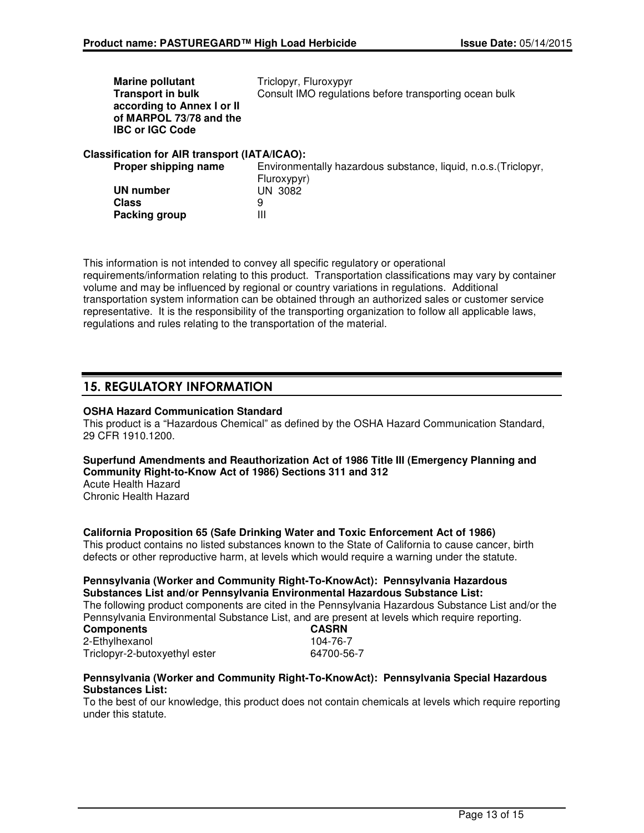| <b>Marine pollutant</b>                       | Triclopyr, Fluroxypyr                                           |
|-----------------------------------------------|-----------------------------------------------------------------|
| <b>Transport in bulk</b>                      | Consult IMO regulations before transporting ocean bulk          |
| according to Annex I or II                    |                                                                 |
| of MARPOL 73/78 and the                       |                                                                 |
| <b>IBC or IGC Code</b>                        |                                                                 |
| Classification for AIR transport (IATA/ICAO): |                                                                 |
| Proper shipping name                          | Environmentally hazardous substance, liquid, n.o.s. (Triclopyr, |
|                                               | Fluroxypyr)                                                     |
| UN number                                     | UN 3082                                                         |
| Class                                         | 9                                                               |

This information is not intended to convey all specific regulatory or operational requirements/information relating to this product. Transportation classifications may vary by container volume and may be influenced by regional or country variations in regulations. Additional transportation system information can be obtained through an authorized sales or customer service representative. It is the responsibility of the transporting organization to follow all applicable laws, regulations and rules relating to the transportation of the material.

### 15. REGULATORY INFORMATION

#### **OSHA Hazard Communication Standard**

**Packing group** III

This product is a "Hazardous Chemical" as defined by the OSHA Hazard Communication Standard, 29 CFR 1910.1200.

### **Superfund Amendments and Reauthorization Act of 1986 Title III (Emergency Planning and Community Right-to-Know Act of 1986) Sections 311 and 312**

Acute Health Hazard Chronic Health Hazard

#### **California Proposition 65 (Safe Drinking Water and Toxic Enforcement Act of 1986)**

This product contains no listed substances known to the State of California to cause cancer, birth defects or other reproductive harm, at levels which would require a warning under the statute.

#### **Pennsylvania (Worker and Community Right-To-KnowAct): Pennsylvania Hazardous Substances List and/or Pennsylvania Environmental Hazardous Substance List:**

The following product components are cited in the Pennsylvania Hazardous Substance List and/or the Pennsylvania Environmental Substance List, and are present at levels which require reporting.

| <b>Components</b>             |  |
|-------------------------------|--|
| 2-Ethylhexanol                |  |
| Triclopyr-2-butoxyethyl ester |  |

#### **Components CASRN** 104-76-7 64700-56-7

#### **Pennsylvania (Worker and Community Right-To-KnowAct): Pennsylvania Special Hazardous Substances List:**

To the best of our knowledge, this product does not contain chemicals at levels which require reporting under this statute.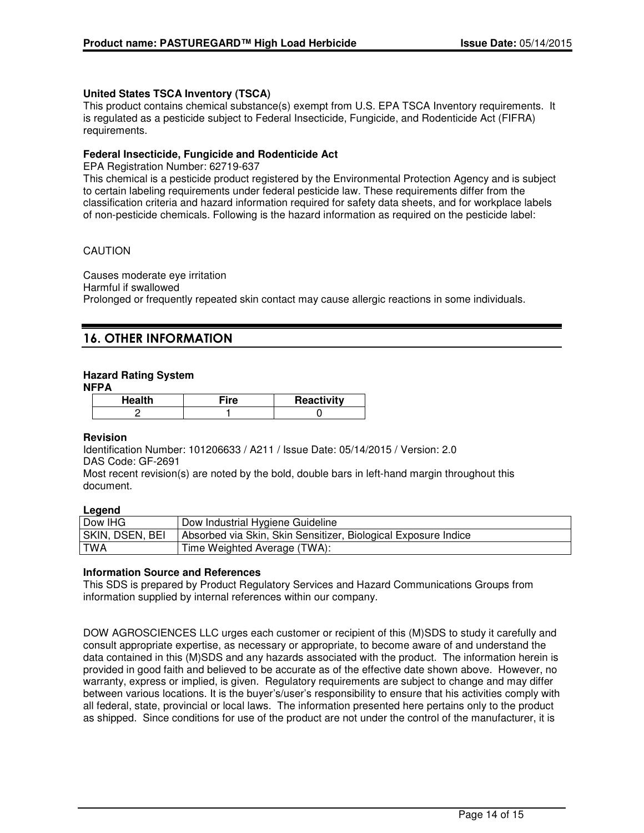#### **United States TSCA Inventory (TSCA)**

This product contains chemical substance(s) exempt from U.S. EPA TSCA Inventory requirements. It is regulated as a pesticide subject to Federal Insecticide, Fungicide, and Rodenticide Act (FIFRA) requirements.

#### **Federal Insecticide, Fungicide and Rodenticide Act**

EPA Registration Number: 62719-637

This chemical is a pesticide product registered by the Environmental Protection Agency and is subject to certain labeling requirements under federal pesticide law. These requirements differ from the classification criteria and hazard information required for safety data sheets, and for workplace labels of non-pesticide chemicals. Following is the hazard information as required on the pesticide label:

#### CAUTION

Causes moderate eye irritation Harmful if swallowed Prolonged or frequently repeated skin contact may cause allergic reactions in some individuals.

# 16. OTHER INFORMATION

#### **Hazard Rating System**

#### **NFPA**

| Health | ⊤iro | Reactivity |
|--------|------|------------|
|        |      |            |

#### **Revision**

Identification Number: 101206633 / A211 / Issue Date: 05/14/2015 / Version: 2.0 DAS Code: GF-2691

Most recent revision(s) are noted by the bold, double bars in left-hand margin throughout this document.

#### **Legend**

| Dow IHG         | Dow Industrial Hygiene Guideline                               |
|-----------------|----------------------------------------------------------------|
| SKIN, DSEN, BEI | Absorbed via Skin, Skin Sensitizer, Biological Exposure Indice |
| TWA             | Time Weighted Average (TWA):                                   |

#### **Information Source and References**

This SDS is prepared by Product Regulatory Services and Hazard Communications Groups from information supplied by internal references within our company.

DOW AGROSCIENCES LLC urges each customer or recipient of this (M)SDS to study it carefully and consult appropriate expertise, as necessary or appropriate, to become aware of and understand the data contained in this (M)SDS and any hazards associated with the product. The information herein is provided in good faith and believed to be accurate as of the effective date shown above. However, no warranty, express or implied, is given. Regulatory requirements are subject to change and may differ between various locations. It is the buyer's/user's responsibility to ensure that his activities comply with all federal, state, provincial or local laws. The information presented here pertains only to the product as shipped. Since conditions for use of the product are not under the control of the manufacturer, it is